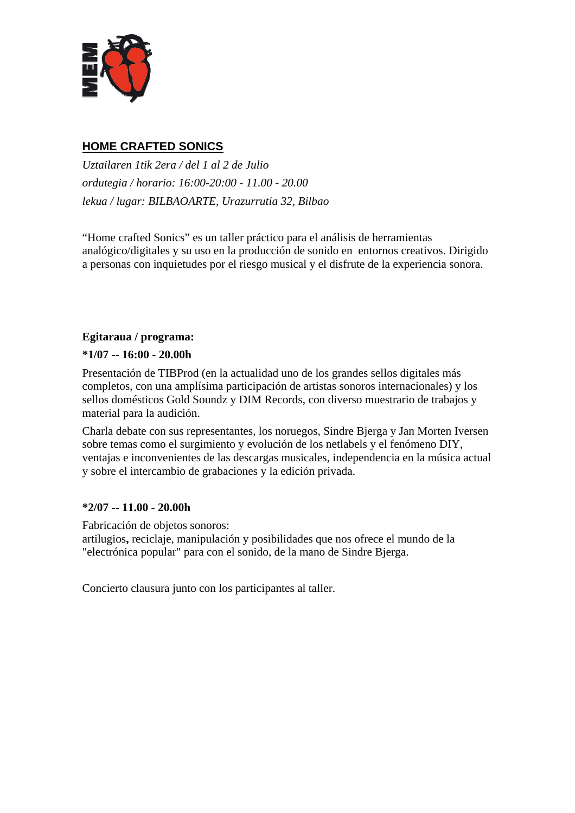

# **HOME CRAFTED SONICS**

*Uztailaren 1tik 2era / del 1 al 2 de Julio ordutegia / horario: 16:00-20:00 - 11.00 - 20.00 lekua / lugar: BILBAOARTE, Urazurrutia 32, Bilbao* 

"Home crafted Sonics" es un taller práctico para el análisis de herramientas analógico/digitales y su uso en la producción de sonido en entornos creativos. Dirigido a personas con inquietudes por el riesgo musical y el disfrute de la experiencia sonora.

### **Egitaraua / programa:**

### **\*1/07 -- 16:00 - 20.00h**

Presentación de TIBProd (en la actualidad uno de los grandes sellos digitales más completos, con una amplísima participación de artistas sonoros internacionales) y los sellos domésticos Gold Soundz y DIM Records, con diverso muestrario de trabajos y material para la audición.

Charla debate con sus representantes, los noruegos, Sindre Bjerga y Jan Morten Iversen sobre temas como el surgimiento y evolución de los netlabels y el fenómeno DIY, ventajas e inconvenientes de las descargas musicales, independencia en la música actual y sobre el intercambio de grabaciones y la edición privada.

### **\*2/07 -- 11.00 - 20.00h**

Fabricación de objetos sonoros:

artilugios**,** reciclaje, manipulación y posibilidades que nos ofrece el mundo de la "electrónica popular" para con el sonido, de la mano de Sindre Bjerga.

Concierto clausura junto con los participantes al taller.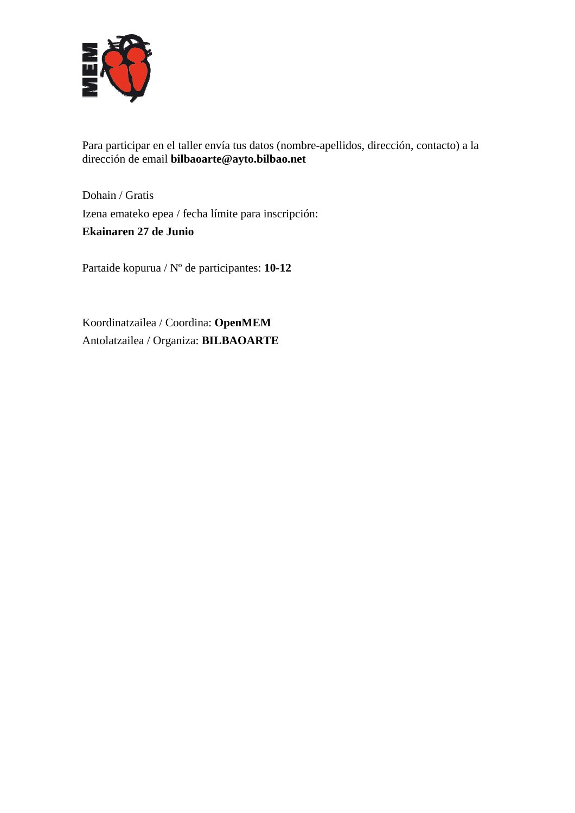

Para participar en el taller envía tus datos (nombre-apellidos, dirección, contacto) a la dirección de email **bilbaoarte@ayto.bilbao.net** 

Dohain / Gratis Izena emateko epea / fecha límite para inscripción:

**Ekainaren 27 de Junio** 

Partaide kopurua / Nº de participantes: **10-12** 

Koordinatzailea / Coordina: **OpenMEM**  Antolatzailea / Organiza: **BILBAOARTE**